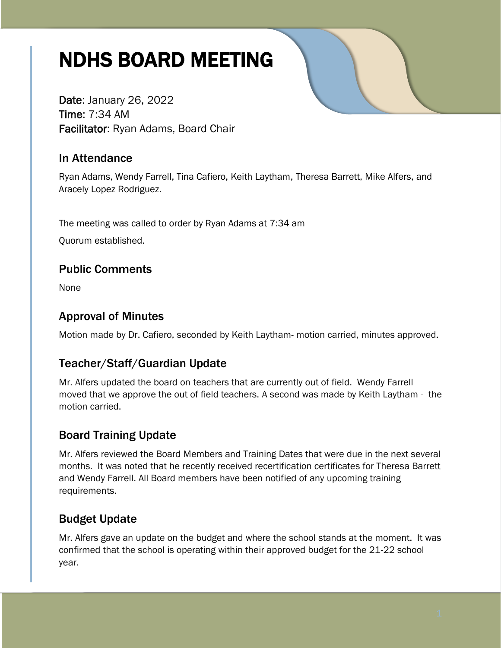# NDHS BOARD MEETING

Date: January 26, 2022 Time: 7:34 AM Facilitator: Ryan Adams, Board Chair

### In Attendance

Ryan Adams, Wendy Farrell, Tina Cafiero, Keith Laytham, Theresa Barrett, Mike Alfers, and Aracely Lopez Rodriguez.

The meeting was called to order by Ryan Adams at 7:34 am

Quorum established.

### Public Comments

None

## Approval of Minutes

Motion made by Dr. Cafiero, seconded by Keith Laytham- motion carried, minutes approved.

# Teacher/Staff/Guardian Update

Mr. Alfers updated the board on teachers that are currently out of field. Wendy Farrell moved that we approve the out of field teachers. A second was made by Keith Laytham - the motion carried.

# Board Training Update

Mr. Alfers reviewed the Board Members and Training Dates that were due in the next several months. It was noted that he recently received recertification certificates for Theresa Barrett and Wendy Farrell. All Board members have been notified of any upcoming training requirements.

# Budget Update

Mr. Alfers gave an update on the budget and where the school stands at the moment. It was confirmed that the school is operating within their approved budget for the 21-22 school year.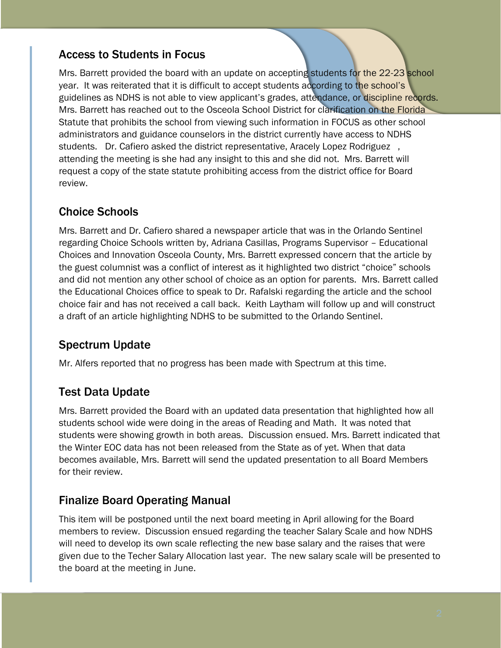#### Access to Students in Focus

Mrs. Barrett provided the board with an update on accepting students for the 22-23 school year. It was reiterated that it is difficult to accept students according to the school's guidelines as NDHS is not able to view applicant's grades, attendance, or discipline records. Mrs. Barrett has reached out to the Osceola School District for clarification on the Florida Statute that prohibits the school from viewing such information in FOCUS as other school administrators and guidance counselors in the district currently have access to NDHS students. Dr. Cafiero asked the district representative, Aracely Lopez Rodriguez , attending the meeting is she had any insight to this and she did not. Mrs. Barrett will request a copy of the state statute prohibiting access from the district office for Board review.

### Choice Schools

Mrs. Barrett and Dr. Cafiero shared a newspaper article that was in the Orlando Sentinel regarding Choice Schools written by, Adriana Casillas, Programs Supervisor – Educational Choices and Innovation Osceola County, Mrs. Barrett expressed concern that the article by the guest columnist was a conflict of interest as it highlighted two district "choice" schools and did not mention any other school of choice as an option for parents. Mrs. Barrett called the Educational Choices office to speak to Dr. Rafalski regarding the article and the school choice fair and has not received a call back. Keith Laytham will follow up and will construct a draft of an article highlighting NDHS to be submitted to the Orlando Sentinel.

# Spectrum Update

Mr. Alfers reported that no progress has been made with Spectrum at this time.

### Test Data Update

Mrs. Barrett provided the Board with an updated data presentation that highlighted how all students school wide were doing in the areas of Reading and Math. It was noted that students were showing growth in both areas. Discussion ensued. Mrs. Barrett indicated that the Winter EOC data has not been released from the State as of yet. When that data becomes available, Mrs. Barrett will send the updated presentation to all Board Members for their review.

### Finalize Board Operating Manual

This item will be postponed until the next board meeting in April allowing for the Board members to review. Discussion ensued regarding the teacher Salary Scale and how NDHS will need to develop its own scale reflecting the new base salary and the raises that were given due to the Techer Salary Allocation last year. The new salary scale will be presented to the board at the meeting in June.